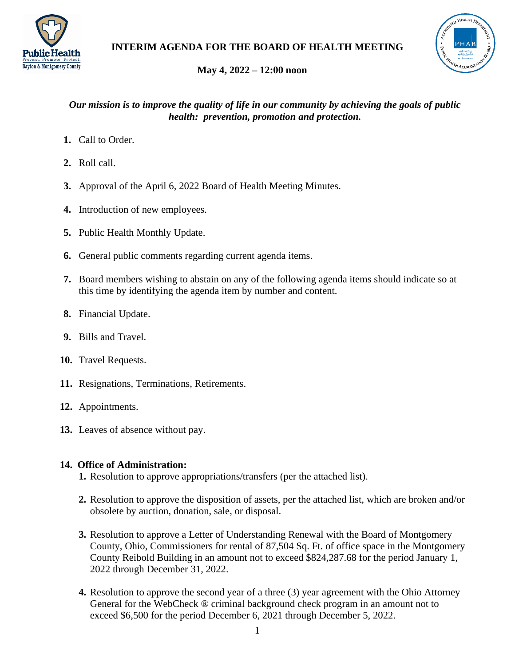



# **May 4, 2022 – 12:00 noon**

### *Our mission is to improve the quality of life in our community by achieving the goals of public health: prevention, promotion and protection.*

- **1.** Call to Order.
- **2.** Roll call.
- **3.** Approval of the April 6, 2022 Board of Health Meeting Minutes.
- **4.** Introduction of new employees.
- **5.** Public Health Monthly Update.
- **6.** General public comments regarding current agenda items.
- **7.** Board members wishing to abstain on any of the following agenda items should indicate so at this time by identifying the agenda item by number and content.
- **8.** Financial Update.
- **9.** Bills and Travel.
- **10.** Travel Requests.
- **11.** Resignations, Terminations, Retirements.
- **12.** Appointments.
- **13.** Leaves of absence without pay.

## **14. Office of Administration:**

- **1.** Resolution to approve appropriations/transfers (per the attached list).
- **2.** Resolution to approve the disposition of assets, per the attached list, which are broken and/or obsolete by auction, donation, sale, or disposal.
- **3.** Resolution to approve a Letter of Understanding Renewal with the Board of Montgomery County, Ohio, Commissioners for rental of 87,504 Sq. Ft. of office space in the Montgomery County Reibold Building in an amount not to exceed \$824,287.68 for the period January 1, 2022 through December 31, 2022.
- **4.** Resolution to approve the second year of a three (3) year agreement with the Ohio Attorney General for the WebCheck ® criminal background check program in an amount not to exceed \$6,500 for the period December 6, 2021 through December 5, 2022.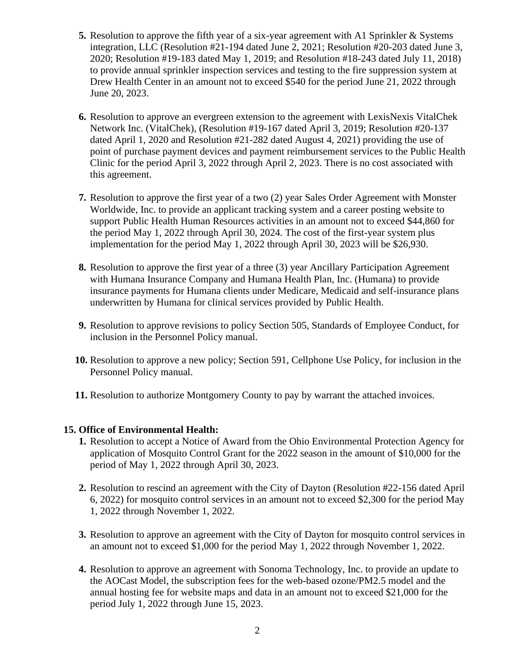- **5.** Resolution to approve the fifth year of a six-year agreement with A1 Sprinkler & Systems integration, LLC (Resolution #21-194 dated June 2, 2021; Resolution #20-203 dated June 3, 2020; Resolution #19-183 dated May 1, 2019; and Resolution #18-243 dated July 11, 2018) to provide annual sprinkler inspection services and testing to the fire suppression system at Drew Health Center in an amount not to exceed \$540 for the period June 21, 2022 through June 20, 2023.
- **6.** Resolution to approve an evergreen extension to the agreement with LexisNexis VitalChek Network Inc. (VitalChek), (Resolution #19-167 dated April 3, 2019; Resolution #20-137 dated April 1, 2020 and Resolution #21-282 dated August 4, 2021) providing the use of point of purchase payment devices and payment reimbursement services to the Public Health Clinic for the period April 3, 2022 through April 2, 2023. There is no cost associated with this agreement.
- **7.** Resolution to approve the first year of a two (2) year Sales Order Agreement with Monster Worldwide, Inc. to provide an applicant tracking system and a career posting website to support Public Health Human Resources activities in an amount not to exceed \$44,860 for the period May 1, 2022 through April 30, 2024. The cost of the first-year system plus implementation for the period May 1, 2022 through April 30, 2023 will be \$26,930.
- **8.** Resolution to approve the first year of a three (3) year Ancillary Participation Agreement with Humana Insurance Company and Humana Health Plan, Inc. (Humana) to provide insurance payments for Humana clients under Medicare, Medicaid and self-insurance plans underwritten by Humana for clinical services provided by Public Health.
- **9.** Resolution to approve revisions to policy Section 505, Standards of Employee Conduct, for inclusion in the Personnel Policy manual.
- **10.** Resolution to approve a new policy; Section 591, Cellphone Use Policy, for inclusion in the Personnel Policy manual.
- **11.** Resolution to authorize Montgomery County to pay by warrant the attached invoices.

### **15. Office of Environmental Health:**

- **1.** Resolution to accept a Notice of Award from the Ohio Environmental Protection Agency for application of Mosquito Control Grant for the 2022 season in the amount of \$10,000 for the period of May 1, 2022 through April 30, 2023.
- **2.** Resolution to rescind an agreement with the City of Dayton (Resolution #22-156 dated April 6, 2022) for mosquito control services in an amount not to exceed \$2,300 for the period May 1, 2022 through November 1, 2022.
- **3.** Resolution to approve an agreement with the City of Dayton for mosquito control services in an amount not to exceed \$1,000 for the period May 1, 2022 through November 1, 2022.
- **4.** Resolution to approve an agreement with Sonoma Technology, Inc. to provide an update to the AOCast Model, the subscription fees for the web-based ozone/PM2.5 model and the annual hosting fee for website maps and data in an amount not to exceed \$21,000 for the period July 1, 2022 through June 15, 2023.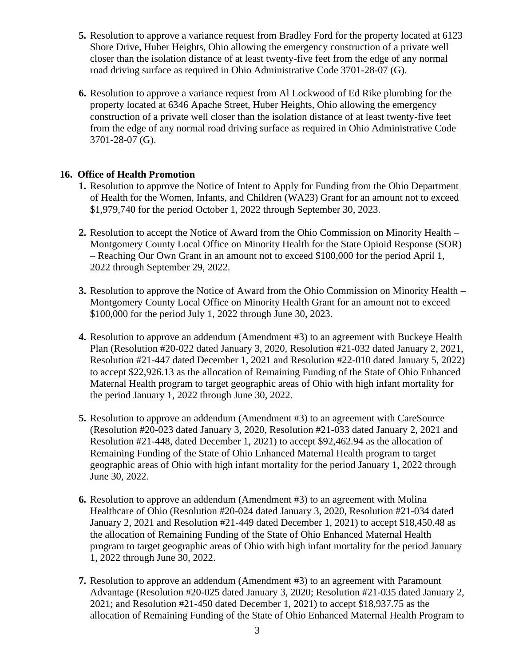- **5.** Resolution to approve a variance request from Bradley Ford for the property located at 6123 Shore Drive, Huber Heights, Ohio allowing the emergency construction of a private well closer than the isolation distance of at least twenty-five feet from the edge of any normal road driving surface as required in Ohio Administrative Code 3701-28-07 (G).
- **6.** Resolution to approve a variance request from Al Lockwood of Ed Rike plumbing for the property located at 6346 Apache Street, Huber Heights, Ohio allowing the emergency construction of a private well closer than the isolation distance of at least twenty-five feet from the edge of any normal road driving surface as required in Ohio Administrative Code 3701-28-07 (G).

### **16. Office of Health Promotion**

- **1.** Resolution to approve the Notice of Intent to Apply for Funding from the Ohio Department of Health for the Women, Infants, and Children (WA23) Grant for an amount not to exceed \$1,979,740 for the period October 1, 2022 through September 30, 2023.
- **2.** Resolution to accept the Notice of Award from the Ohio Commission on Minority Health Montgomery County Local Office on Minority Health for the State Opioid Response (SOR) – Reaching Our Own Grant in an amount not to exceed \$100,000 for the period April 1, 2022 through September 29, 2022.
- **3.** Resolution to approve the Notice of Award from the Ohio Commission on Minority Health Montgomery County Local Office on Minority Health Grant for an amount not to exceed \$100,000 for the period July 1, 2022 through June 30, 2023.
- **4.** Resolution to approve an addendum (Amendment #3) to an agreement with Buckeye Health Plan (Resolution #20-022 dated January 3, 2020, Resolution #21-032 dated January 2, 2021, Resolution #21-447 dated December 1, 2021 and Resolution #22-010 dated January 5, 2022) to accept \$22,926.13 as the allocation of Remaining Funding of the State of Ohio Enhanced Maternal Health program to target geographic areas of Ohio with high infant mortality for the period January 1, 2022 through June 30, 2022.
- **5.** Resolution to approve an addendum (Amendment #3) to an agreement with CareSource (Resolution #20-023 dated January 3, 2020, Resolution #21-033 dated January 2, 2021 and Resolution #21-448, dated December 1, 2021) to accept \$92,462.94 as the allocation of Remaining Funding of the State of Ohio Enhanced Maternal Health program to target geographic areas of Ohio with high infant mortality for the period January 1, 2022 through June 30, 2022.
- **6.** Resolution to approve an addendum (Amendment #3) to an agreement with Molina Healthcare of Ohio (Resolution #20-024 dated January 3, 2020, Resolution #21-034 dated January 2, 2021 and Resolution #21-449 dated December 1, 2021) to accept \$18,450.48 as the allocation of Remaining Funding of the State of Ohio Enhanced Maternal Health program to target geographic areas of Ohio with high infant mortality for the period January 1, 2022 through June 30, 2022.
- **7.** Resolution to approve an addendum (Amendment #3) to an agreement with Paramount Advantage (Resolution #20-025 dated January 3, 2020; Resolution #21-035 dated January 2, 2021; and Resolution #21-450 dated December 1, 2021) to accept \$18,937.75 as the allocation of Remaining Funding of the State of Ohio Enhanced Maternal Health Program to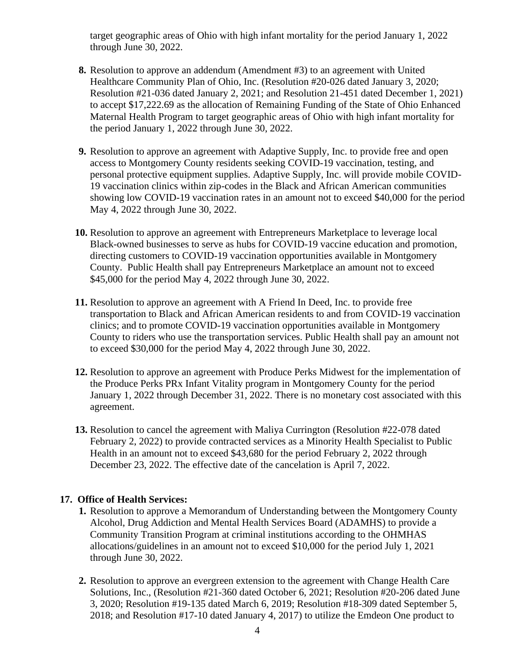target geographic areas of Ohio with high infant mortality for the period January 1, 2022 through June 30, 2022.

- **8.** Resolution to approve an addendum (Amendment #3) to an agreement with United Healthcare Community Plan of Ohio, Inc. (Resolution #20-026 dated January 3, 2020; Resolution #21-036 dated January 2, 2021; and Resolution 21-451 dated December 1, 2021) to accept \$17,222.69 as the allocation of Remaining Funding of the State of Ohio Enhanced Maternal Health Program to target geographic areas of Ohio with high infant mortality for the period January 1, 2022 through June 30, 2022.
- **9.** Resolution to approve an agreement with Adaptive Supply, Inc. to provide free and open access to Montgomery County residents seeking COVID-19 vaccination, testing, and personal protective equipment supplies. Adaptive Supply, Inc. will provide mobile COVID-19 vaccination clinics within zip-codes in the Black and African American communities showing low COVID-19 vaccination rates in an amount not to exceed \$40,000 for the period May 4, 2022 through June 30, 2022.
- **10.** Resolution to approve an agreement with Entrepreneurs Marketplace to leverage local Black-owned businesses to serve as hubs for COVID-19 vaccine education and promotion, directing customers to COVID-19 vaccination opportunities available in Montgomery County. Public Health shall pay Entrepreneurs Marketplace an amount not to exceed \$45,000 for the period May 4, 2022 through June 30, 2022.
- **11.** Resolution to approve an agreement with A Friend In Deed, Inc. to provide free transportation to Black and African American residents to and from COVID-19 vaccination clinics; and to promote COVID-19 vaccination opportunities available in Montgomery County to riders who use the transportation services. Public Health shall pay an amount not to exceed \$30,000 for the period May 4, 2022 through June 30, 2022.
- **12.** Resolution to approve an agreement with Produce Perks Midwest for the implementation of the Produce Perks PRx Infant Vitality program in Montgomery County for the period January 1, 2022 through December 31, 2022. There is no monetary cost associated with this agreement.
- **13.** Resolution to cancel the agreement with Maliya Currington (Resolution #22-078 dated February 2, 2022) to provide contracted services as a Minority Health Specialist to Public Health in an amount not to exceed \$43,680 for the period February 2, 2022 through December 23, 2022. The effective date of the cancelation is April 7, 2022.

### **17. Office of Health Services:**

- **1.** Resolution to approve a Memorandum of Understanding between the Montgomery County Alcohol, Drug Addiction and Mental Health Services Board (ADAMHS) to provide a Community Transition Program at criminal institutions according to the OHMHAS allocations/guidelines in an amount not to exceed \$10,000 for the period July 1, 2021 through June 30, 2022.
- **2.** Resolution to approve an evergreen extension to the agreement with Change Health Care Solutions, Inc., (Resolution #21-360 dated October 6, 2021; Resolution #20-206 dated June 3, 2020; Resolution #19-135 dated March 6, 2019; Resolution #18-309 dated September 5, 2018; and Resolution #17-10 dated January 4, 2017) to utilize the Emdeon One product to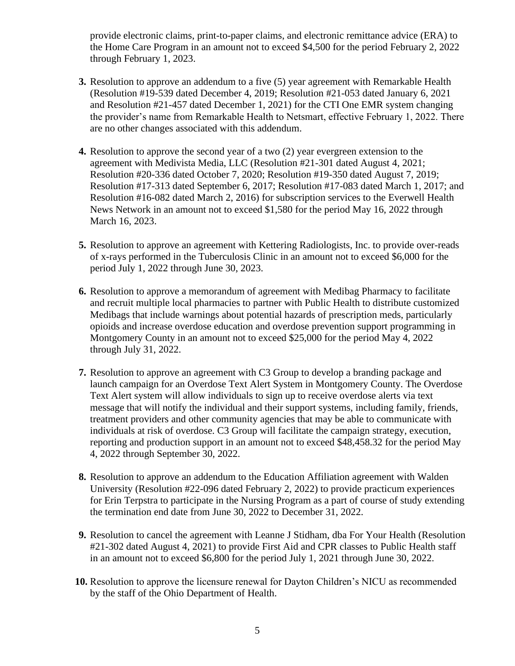provide electronic claims, print-to-paper claims, and electronic remittance advice (ERA) to the Home Care Program in an amount not to exceed \$4,500 for the period February 2, 2022 through February 1, 2023.

- **3.** Resolution to approve an addendum to a five (5) year agreement with Remarkable Health (Resolution #19-539 dated December 4, 2019; Resolution #21-053 dated January 6, 2021 and Resolution #21-457 dated December 1, 2021) for the CTI One EMR system changing the provider's name from Remarkable Health to Netsmart, effective February 1, 2022. There are no other changes associated with this addendum.
- **4.** Resolution to approve the second year of a two (2) year evergreen extension to the agreement with Medivista Media, LLC (Resolution #21-301 dated August 4, 2021; Resolution #20-336 dated October 7, 2020; Resolution #19-350 dated August 7, 2019; Resolution #17-313 dated September 6, 2017; Resolution #17-083 dated March 1, 2017; and Resolution #16-082 dated March 2, 2016) for subscription services to the Everwell Health News Network in an amount not to exceed \$1,580 for the period May 16, 2022 through March 16, 2023.
- **5.** Resolution to approve an agreement with Kettering Radiologists, Inc. to provide over-reads of x-rays performed in the Tuberculosis Clinic in an amount not to exceed \$6,000 for the period July 1, 2022 through June 30, 2023.
- **6.** Resolution to approve a memorandum of agreement with Medibag Pharmacy to facilitate and recruit multiple local pharmacies to partner with Public Health to distribute customized Medibags that include warnings about potential hazards of prescription meds, particularly opioids and increase overdose education and overdose prevention support programming in Montgomery County in an amount not to exceed \$25,000 for the period May 4, 2022 through July 31, 2022.
- **7.** Resolution to approve an agreement with C3 Group to develop a branding package and launch campaign for an Overdose Text Alert System in Montgomery County. The Overdose Text Alert system will allow individuals to sign up to receive overdose alerts via text message that will notify the individual and their support systems, including family, friends, treatment providers and other community agencies that may be able to communicate with individuals at risk of overdose. C3 Group will facilitate the campaign strategy, execution, reporting and production support in an amount not to exceed \$48,458.32 for the period May 4, 2022 through September 30, 2022.
- **8.** Resolution to approve an addendum to the Education Affiliation agreement with Walden University (Resolution #22-096 dated February 2, 2022) to provide practicum experiences for Erin Terpstra to participate in the Nursing Program as a part of course of study extending the termination end date from June 30, 2022 to December 31, 2022.
- **9.** Resolution to cancel the agreement with Leanne J Stidham, dba For Your Health (Resolution #21-302 dated August 4, 2021) to provide First Aid and CPR classes to Public Health staff in an amount not to exceed \$6,800 for the period July 1, 2021 through June 30, 2022.
- **10.** Resolution to approve the licensure renewal for Dayton Children's NICU as recommended by the staff of the Ohio Department of Health.